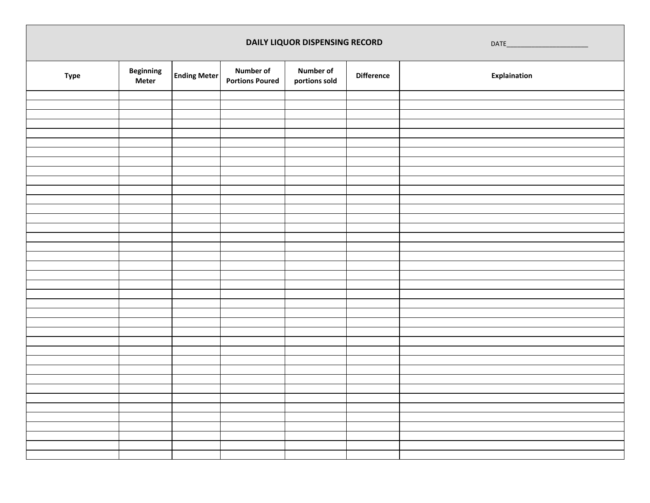|             |                                  |                     |                                            | DAILY LIQUOR DISPENSING RECORD    |                   |              |  |  |
|-------------|----------------------------------|---------------------|--------------------------------------------|-----------------------------------|-------------------|--------------|--|--|
| <b>Type</b> | <b>Beginning</b><br><b>Meter</b> | <b>Ending Meter</b> | <b>Number of</b><br><b>Portions Poured</b> | <b>Number of</b><br>portions sold | <b>Difference</b> | Explaination |  |  |
|             |                                  |                     |                                            |                                   |                   |              |  |  |
|             |                                  |                     |                                            |                                   |                   |              |  |  |
|             |                                  |                     |                                            |                                   |                   |              |  |  |
|             |                                  |                     |                                            |                                   |                   |              |  |  |
|             |                                  |                     |                                            |                                   |                   |              |  |  |
|             |                                  |                     |                                            |                                   |                   |              |  |  |
|             |                                  |                     |                                            |                                   |                   |              |  |  |
|             |                                  |                     |                                            |                                   |                   |              |  |  |
|             |                                  |                     |                                            |                                   |                   |              |  |  |
|             |                                  |                     |                                            |                                   |                   |              |  |  |
|             |                                  |                     |                                            |                                   |                   |              |  |  |
|             |                                  |                     |                                            |                                   |                   |              |  |  |
|             |                                  |                     |                                            |                                   |                   |              |  |  |
|             |                                  |                     |                                            |                                   |                   |              |  |  |
|             |                                  |                     |                                            |                                   |                   |              |  |  |
|             |                                  |                     |                                            |                                   |                   |              |  |  |
|             |                                  |                     |                                            |                                   |                   |              |  |  |
|             |                                  |                     |                                            |                                   |                   |              |  |  |
|             |                                  |                     |                                            |                                   |                   |              |  |  |
|             |                                  |                     |                                            |                                   |                   |              |  |  |
|             |                                  |                     |                                            |                                   |                   |              |  |  |
|             |                                  |                     |                                            |                                   |                   |              |  |  |
|             |                                  |                     |                                            |                                   |                   |              |  |  |
|             |                                  |                     |                                            |                                   |                   |              |  |  |
|             |                                  |                     |                                            |                                   |                   |              |  |  |
|             |                                  |                     |                                            |                                   |                   |              |  |  |
|             |                                  |                     |                                            |                                   |                   |              |  |  |
|             |                                  |                     |                                            |                                   |                   |              |  |  |
|             |                                  |                     |                                            |                                   |                   |              |  |  |
|             |                                  |                     |                                            |                                   |                   |              |  |  |
|             |                                  |                     |                                            |                                   |                   |              |  |  |
|             |                                  |                     |                                            |                                   |                   |              |  |  |
|             |                                  |                     |                                            |                                   |                   |              |  |  |
|             |                                  |                     |                                            |                                   |                   |              |  |  |
|             |                                  |                     |                                            |                                   |                   |              |  |  |
|             |                                  |                     |                                            |                                   |                   |              |  |  |
|             |                                  |                     |                                            |                                   |                   |              |  |  |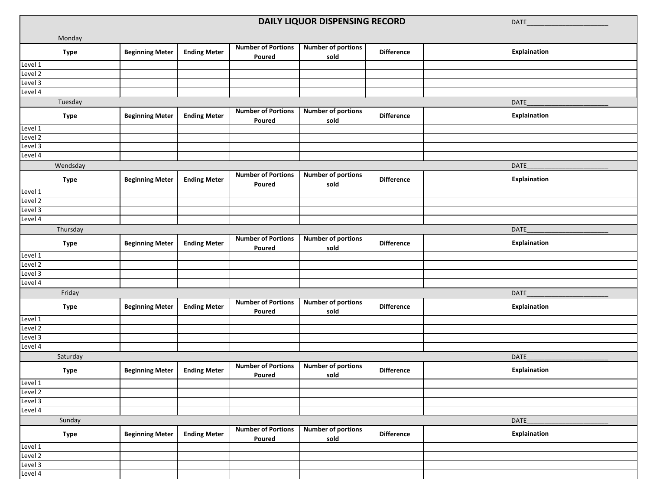|                    |                        |                     |                                     | DAILY LIQUOR DISPENSING RECORD    |                   | DATE         |
|--------------------|------------------------|---------------------|-------------------------------------|-----------------------------------|-------------------|--------------|
|                    |                        |                     |                                     |                                   |                   |              |
| Monday             |                        |                     | <b>Number of Portions</b>           | <b>Number of portions</b>         |                   |              |
| <b>Type</b>        | <b>Beginning Meter</b> | <b>Ending Meter</b> | Poured                              | sold                              | <b>Difference</b> | Explaination |
| Level 1            |                        |                     |                                     |                                   |                   |              |
| Level 2            |                        |                     |                                     |                                   |                   |              |
| Level 3            |                        |                     |                                     |                                   |                   |              |
| Level 4            |                        |                     |                                     |                                   |                   |              |
| Tuesday            |                        |                     |                                     |                                   |                   | <b>DATE</b>  |
| <b>Type</b>        | <b>Beginning Meter</b> | <b>Ending Meter</b> | <b>Number of Portions</b><br>Poured | <b>Number of portions</b><br>sold | <b>Difference</b> | Explaination |
| Level 1            |                        |                     |                                     |                                   |                   |              |
| Level 2            |                        |                     |                                     |                                   |                   |              |
| Level 3            |                        |                     |                                     |                                   |                   |              |
| Level 4            |                        |                     |                                     |                                   |                   |              |
| Wendsday           |                        |                     |                                     |                                   |                   | DATE         |
| <b>Type</b>        | <b>Beginning Meter</b> | <b>Ending Meter</b> | <b>Number of Portions</b><br>Poured | <b>Number of portions</b><br>sold | <b>Difference</b> | Explaination |
| Level 1            |                        |                     |                                     |                                   |                   |              |
| Level 2            |                        |                     |                                     |                                   |                   |              |
| Level 3            |                        |                     |                                     |                                   |                   |              |
| Level 4            |                        |                     |                                     |                                   |                   |              |
| Thursday           |                        |                     |                                     |                                   |                   | <b>DATE</b>  |
| <b>Type</b>        | <b>Beginning Meter</b> | <b>Ending Meter</b> | <b>Number of Portions</b><br>Poured | <b>Number of portions</b><br>sold | <b>Difference</b> | Explaination |
| Level 1            |                        |                     |                                     |                                   |                   |              |
| Level 2            |                        |                     |                                     |                                   |                   |              |
| Level 3            |                        |                     |                                     |                                   |                   |              |
| Level 4            |                        |                     |                                     |                                   |                   |              |
| Friday             |                        |                     |                                     |                                   |                   | DATE         |
| <b>Type</b>        | <b>Beginning Meter</b> | <b>Ending Meter</b> | <b>Number of Portions</b><br>Poured | <b>Number of portions</b><br>sold | <b>Difference</b> | Explaination |
| Level 1            |                        |                     |                                     |                                   |                   |              |
| Level 2            |                        |                     |                                     |                                   |                   |              |
| Level 3<br>Level 4 |                        |                     |                                     |                                   |                   |              |
|                    |                        |                     |                                     |                                   |                   |              |
| Saturday           |                        |                     |                                     |                                   |                   | DATE         |
| <b>Type</b>        | <b>Beginning Meter</b> | <b>Ending Meter</b> | <b>Number of Portions</b><br>Poured | <b>Number of portions</b><br>sold | <b>Difference</b> | Explaination |
| Level 1            |                        |                     |                                     |                                   |                   |              |
| Level 2            |                        |                     |                                     |                                   |                   |              |
| Level 3            |                        |                     |                                     |                                   |                   |              |
| Level 4            |                        |                     |                                     |                                   |                   |              |
| Sunday             |                        |                     |                                     |                                   |                   | DATE         |
| <b>Type</b>        | <b>Beginning Meter</b> | <b>Ending Meter</b> | <b>Number of Portions</b><br>Poured | <b>Number of portions</b><br>sold | <b>Difference</b> | Explaination |
| Level 1            |                        |                     |                                     |                                   |                   |              |
| Level 2            |                        |                     |                                     |                                   |                   |              |
| Level 3            |                        |                     |                                     |                                   |                   |              |
| Level 4            |                        |                     |                                     |                                   |                   |              |